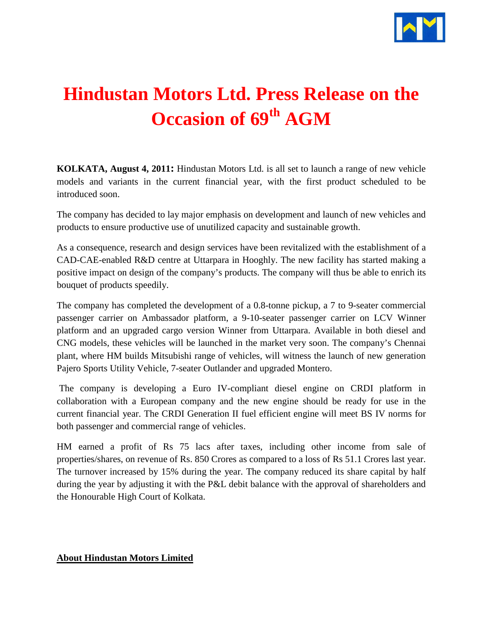

## **Hindustan Motors Ltd. Press Release on the Occasion of 69th AGM**

**KOLKATA, August 4, 2011:** Hindustan Motors Ltd. is all set to launch a range of new vehicle models and variants in the current financial year, with the first product scheduled to be introduced soon.

The company has decided to lay major emphasis on development and launch of new vehicles and products to ensure productive use of unutilized capacity and sustainable growth.

As a consequence, research and design services have been revitalized with the establishment of a CAD-CAE-enabled R&D centre at Uttarpara in Hooghly. The new facility has started making a positive impact on design of the company's products. The company will thus be able to enrich its bouquet of products speedily.

The company has completed the development of a 0.8-tonne pickup, a 7 to 9-seater commercial passenger carrier on Ambassador platform, a 9-10-seater passenger carrier on LCV Winner platform and an upgraded cargo version Winner from Uttarpara. Available in both diesel and CNG models, these vehicles will be launched in the market very soon. The company's Chennai plant, where HM builds Mitsubishi range of vehicles, will witness the launch of new generation Pajero Sports Utility Vehicle, 7-seater Outlander and upgraded Montero.

The company is developing a Euro IV-compliant diesel engine on CRDI platform in collaboration with a European company and the new engine should be ready for use in the current financial year. The CRDI Generation II fuel efficient engine will meet BS IV norms for both passenger and commercial range of vehicles.

HM earned a profit of Rs 75 lacs after taxes, including other income from sale of properties/shares, on revenue of Rs. 850 Crores as compared to a loss of Rs 51.1 Crores last year. The turnover increased by 15% during the year. The company reduced its share capital by half during the year by adjusting it with the P&L debit balance with the approval of shareholders and the Honourable High Court of Kolkata.

## **About Hindustan Motors Limited**